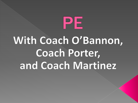PE With Coach O'Bannon, Coach Porter, and Coach Martinez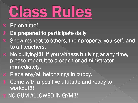# **Class Rules**

- **Be on time!**
- Be prepared to participate daily
- Show respect to others, their property, yourself, and to all teachers.
- No bullying!!!! If you witness bullying at any time, please report it to a coach or administrator immediately.
- **Place any/all belongings in cubby.**
- **Come with a positive attitude and ready to** workout!!!
- NO GUM ALLOWED IN GYM!!!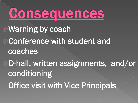### Consequences

**. Warning by coach** 

- **OConference with student and** coaches
- D-hall, written assignments, and/or conditioning
- **OOffice visit with Vice Principals**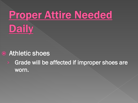### **Proper Attire Needed Daily**

#### **• Athletic shoes**

#### Grade will be affected if improper shoes are worn.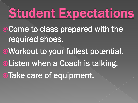### **Student Expectations**

- **OCome to class prepared with the** required shoes.
- Workout to your fullest potential. **OListen when a Coach is talking. • Take care of equipment.**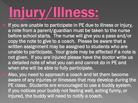## Injury/Illness:

- If you are unable to participate in PE due to illness or injury, a note from a parent/guardian must be taken to the nurse before school starts. The nurse will give you a pass and/or copy the note to give to a coach. Please be aware that a written assignment may be assigned to students who are unable to participate. Your grade may be affected if a note is not given. If you are injured please have the doctor write us a detailed note of what you can and cannot do in PE and when she will be able to fully participate.
- Also, you need to approach a coach and let them become aware of any injuries or illnesses that may develop during the PE class. Students are encouraged to use a buddy system. If you notices your buddy not feeling well, acting funny, or injured, the buddy will need to notify a coach.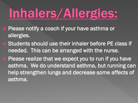## Inhalers/Allergies:

- **Please notify a coach if your have asthma or** allergies.
- Students should use their inhaler before PE class if needed. This can be arranged with the nurse.
- **Please realize that we expect you to run if you have** asthma. We do understand asthma, but running can help strengthen lungs and decrease some affects of asthma.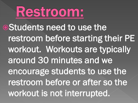

Students need to use the restroom before starting their PE workout. Workouts are typically around 30 minutes and we encourage students to use the restroom before or after so the workout is not interrupted.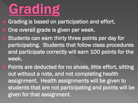## Grading

**• Grading is based on participation and effort.** 

- $\bullet$  One overall grade is given per week.
- **Students can earn thirty three points per day for** participating. Students that follow class procedures and participate correctly will earn 100 points for the week.
- Points are deducted for no shoes, little effort, sitting out without a note, and not completing health assignment. Health assignments will be given to students that are not participating and points will be given for that assignment.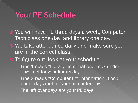#### Your PE Schedule

- You will have PE three days a week, Computer Tech class one day, and library one day.
- We take attendance daily and make sure you are in the correct class.
- $\bullet$  To figure out, look at your schedule.
	- Line 1 reads "Library" information. Look under days met for your library day.
	- Line 2 reads "Computer Lit" information. Look under days met for your computer day.
	- The left over days are your PE days.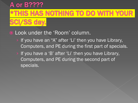### **A** or B???? **\*THIS HAS NOTHING TO DO WITH YOUR** SCI/SS day.

#### Look under the 'Room' column.

- › If you have an "A" after 'Li' then you have Library, Computers, and PE during the first part of specials.
- › If you have a 'B' after 'Li' then you have Library, Computers, and PE during the second part of specials.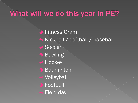#### What will we do this year in PE?

**• Fitness Gram** • Kickball / softball / baseball **Soccer O** Bowling **•** Hockey **•** Badminton **•** Volleyball **•** Football **•** Field day